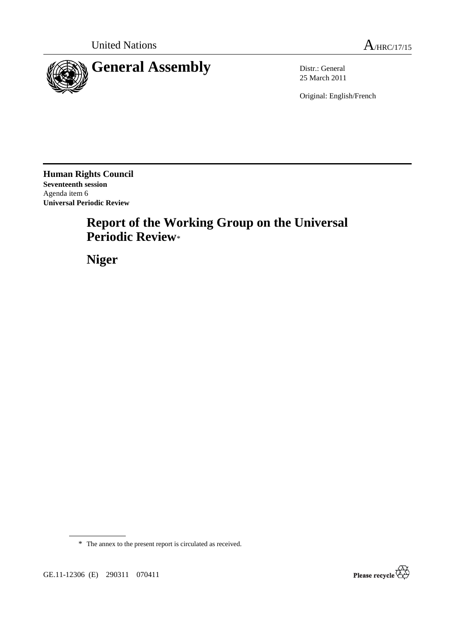

25 March 2011

Original: English/French

**Human Rights Council Seventeenth session**  Agenda item 6 **Universal Periodic Review** 

# **Report of the Working Group on the Universal Periodic Review**\*

 **Niger** 



GE.11-12306 (E) 290311 070411

<sup>\*</sup> The annex to the present report is circulated as received.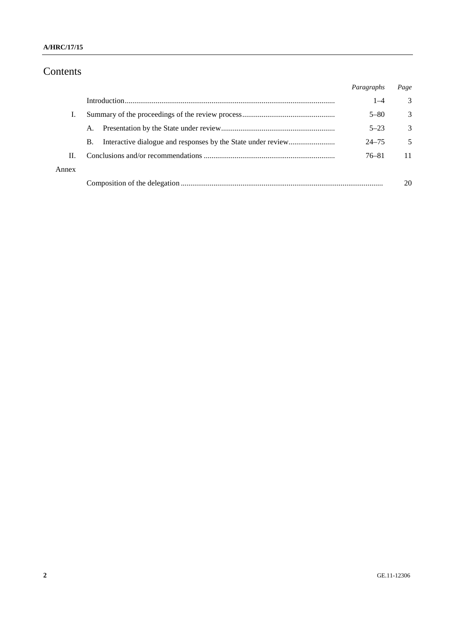# Contents

|       |    | Paragraphs | Page          |
|-------|----|------------|---------------|
|       |    | $1 - 4$    | 3             |
| L.    |    | $5 - 80$   | 3             |
|       | A. | $5 - 23$   | $\mathcal{F}$ |
|       | В. | $24 - 75$  | 5             |
| H.    |    | 76–81      | 11            |
| Annex |    |            |               |
|       |    |            | 20            |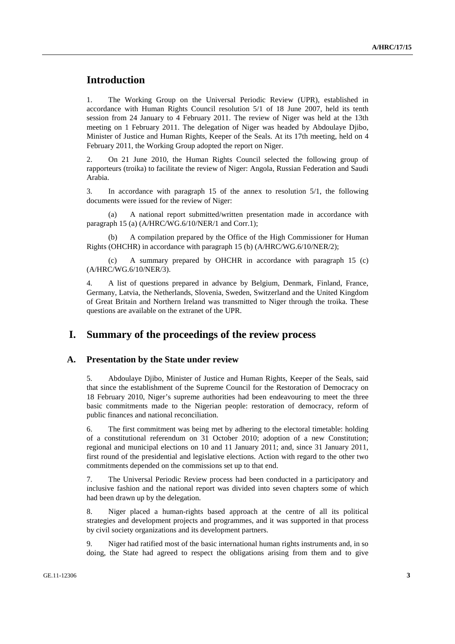# **Introduction**

1. The Working Group on the Universal Periodic Review (UPR), established in accordance with Human Rights Council resolution 5/1 of 18 June 2007, held its tenth session from 24 January to 4 February 2011. The review of Niger was held at the 13th meeting on 1 February 2011. The delegation of Niger was headed by Abdoulaye Djibo, Minister of Justice and Human Rights, Keeper of the Seals. At its 17th meeting, held on 4 February 2011, the Working Group adopted the report on Niger.

2. On 21 June 2010, the Human Rights Council selected the following group of rapporteurs (troika) to facilitate the review of Niger: Angola, Russian Federation and Saudi Arabia.

3. In accordance with paragraph 15 of the annex to resolution 5/1, the following documents were issued for the review of Niger:

 (a) A national report submitted/written presentation made in accordance with paragraph 15 (a) (A/HRC/WG.6/10/NER/1 and Corr.1);

A compilation prepared by the Office of the High Commissioner for Human Rights (OHCHR) in accordance with paragraph 15 (b) (A/HRC/WG.6/10/NER/2);

 (c) A summary prepared by OHCHR in accordance with paragraph 15 (c) (A/HRC/WG.6/10/NER/3).

4. A list of questions prepared in advance by Belgium, Denmark, Finland, France, Germany, Latvia, the Netherlands, Slovenia, Sweden, Switzerland and the United Kingdom of Great Britain and Northern Ireland was transmitted to Niger through the troika. These questions are available on the extranet of the UPR.

## **I. Summary of the proceedings of the review process**

#### **A. Presentation by the State under review**

5. Abdoulaye Djibo, Minister of Justice and Human Rights, Keeper of the Seals, said that since the establishment of the Supreme Council for the Restoration of Democracy on 18 February 2010, Niger's supreme authorities had been endeavouring to meet the three basic commitments made to the Nigerian people: restoration of democracy, reform of public finances and national reconciliation.

6. The first commitment was being met by adhering to the electoral timetable: holding of a constitutional referendum on 31 October 2010; adoption of a new Constitution; regional and municipal elections on 10 and 11 January 2011; and, since 31 January 2011, first round of the presidential and legislative elections. Action with regard to the other two commitments depended on the commissions set up to that end.

7. The Universal Periodic Review process had been conducted in a participatory and inclusive fashion and the national report was divided into seven chapters some of which had been drawn up by the delegation.

8. Niger placed a human-rights based approach at the centre of all its political strategies and development projects and programmes, and it was supported in that process by civil society organizations and its development partners.

9. Niger had ratified most of the basic international human rights instruments and, in so doing, the State had agreed to respect the obligations arising from them and to give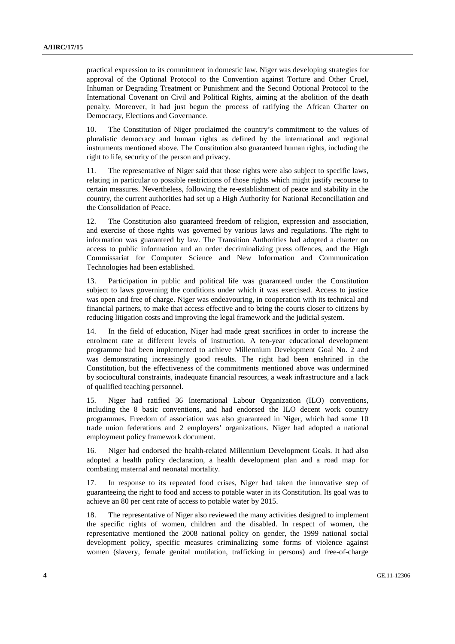practical expression to its commitment in domestic law. Niger was developing strategies for approval of the Optional Protocol to the Convention against Torture and Other Cruel, Inhuman or Degrading Treatment or Punishment and the Second Optional Protocol to the International Covenant on Civil and Political Rights, aiming at the abolition of the death penalty. Moreover, it had just begun the process of ratifying the African Charter on Democracy, Elections and Governance.

10. The Constitution of Niger proclaimed the country's commitment to the values of pluralistic democracy and human rights as defined by the international and regional instruments mentioned above. The Constitution also guaranteed human rights, including the right to life, security of the person and privacy.

11. The representative of Niger said that those rights were also subject to specific laws, relating in particular to possible restrictions of those rights which might justify recourse to certain measures. Nevertheless, following the re-establishment of peace and stability in the country, the current authorities had set up a High Authority for National Reconciliation and the Consolidation of Peace.

12. The Constitution also guaranteed freedom of religion, expression and association, and exercise of those rights was governed by various laws and regulations. The right to information was guaranteed by law. The Transition Authorities had adopted a charter on access to public information and an order decriminalizing press offences, and the High Commissariat for Computer Science and New Information and Communication Technologies had been established.

13. Participation in public and political life was guaranteed under the Constitution subject to laws governing the conditions under which it was exercised. Access to justice was open and free of charge. Niger was endeavouring, in cooperation with its technical and financial partners, to make that access effective and to bring the courts closer to citizens by reducing litigation costs and improving the legal framework and the judicial system.

14. In the field of education, Niger had made great sacrifices in order to increase the enrolment rate at different levels of instruction. A ten-year educational development programme had been implemented to achieve Millennium Development Goal No. 2 and was demonstrating increasingly good results. The right had been enshrined in the Constitution, but the effectiveness of the commitments mentioned above was undermined by sociocultural constraints, inadequate financial resources, a weak infrastructure and a lack of qualified teaching personnel.

15. Niger had ratified 36 International Labour Organization (ILO) conventions, including the 8 basic conventions, and had endorsed the ILO decent work country programmes. Freedom of association was also guaranteed in Niger, which had some 10 trade union federations and 2 employers' organizations. Niger had adopted a national employment policy framework document.

16. Niger had endorsed the health-related Millennium Development Goals. It had also adopted a health policy declaration, a health development plan and a road map for combating maternal and neonatal mortality.

17. In response to its repeated food crises, Niger had taken the innovative step of guaranteeing the right to food and access to potable water in its Constitution. Its goal was to achieve an 80 per cent rate of access to potable water by 2015.

18. The representative of Niger also reviewed the many activities designed to implement the specific rights of women, children and the disabled. In respect of women, the representative mentioned the 2008 national policy on gender, the 1999 national social development policy, specific measures criminalizing some forms of violence against women (slavery, female genital mutilation, trafficking in persons) and free-of-charge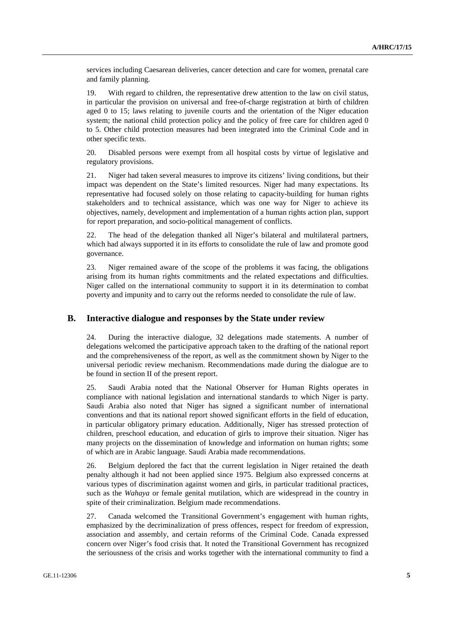services including Caesarean deliveries, cancer detection and care for women, prenatal care and family planning.

19. With regard to children, the representative drew attention to the law on civil status, in particular the provision on universal and free-of-charge registration at birth of children aged 0 to 15; laws relating to juvenile courts and the orientation of the Niger education system; the national child protection policy and the policy of free care for children aged 0 to 5. Other child protection measures had been integrated into the Criminal Code and in other specific texts.

20. Disabled persons were exempt from all hospital costs by virtue of legislative and regulatory provisions.

21. Niger had taken several measures to improve its citizens' living conditions, but their impact was dependent on the State's limited resources. Niger had many expectations. Its representative had focused solely on those relating to capacity-building for human rights stakeholders and to technical assistance, which was one way for Niger to achieve its objectives, namely, development and implementation of a human rights action plan, support for report preparation, and socio-political management of conflicts.

22. The head of the delegation thanked all Niger's bilateral and multilateral partners, which had always supported it in its efforts to consolidate the rule of law and promote good governance.

23. Niger remained aware of the scope of the problems it was facing, the obligations arising from its human rights commitments and the related expectations and difficulties. Niger called on the international community to support it in its determination to combat poverty and impunity and to carry out the reforms needed to consolidate the rule of law.

#### **B. Interactive dialogue and responses by the State under review**

24. During the interactive dialogue, 32 delegations made statements. A number of delegations welcomed the participative approach taken to the drafting of the national report and the comprehensiveness of the report, as well as the commitment shown by Niger to the universal periodic review mechanism. Recommendations made during the dialogue are to be found in section II of the present report.

25. Saudi Arabia noted that the National Observer for Human Rights operates in compliance with national legislation and international standards to which Niger is party. Saudi Arabia also noted that Niger has signed a significant number of international conventions and that its national report showed significant efforts in the field of education, in particular obligatory primary education. Additionally, Niger has stressed protection of children, preschool education, and education of girls to improve their situation. Niger has many projects on the dissemination of knowledge and information on human rights; some of which are in Arabic language. Saudi Arabia made recommendations.

26. Belgium deplored the fact that the current legislation in Niger retained the death penalty although it had not been applied since 1975. Belgium also expressed concerns at various types of discrimination against women and girls, in particular traditional practices, such as the *Wahaya* or female genital mutilation, which are widespread in the country in spite of their criminalization. Belgium made recommendations.

27. Canada welcomed the Transitional Government's engagement with human rights, emphasized by the decriminalization of press offences, respect for freedom of expression, association and assembly, and certain reforms of the Criminal Code. Canada expressed concern over Niger's food crisis that. It noted the Transitional Government has recognized the seriousness of the crisis and works together with the international community to find a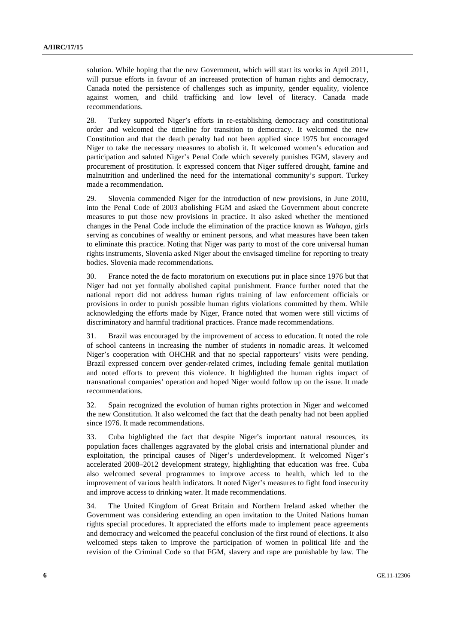solution. While hoping that the new Government, which will start its works in April 2011, will pursue efforts in favour of an increased protection of human rights and democracy, Canada noted the persistence of challenges such as impunity, gender equality, violence against women, and child trafficking and low level of literacy. Canada made recommendations.

28. Turkey supported Niger's efforts in re-establishing democracy and constitutional order and welcomed the timeline for transition to democracy. It welcomed the new Constitution and that the death penalty had not been applied since 1975 but encouraged Niger to take the necessary measures to abolish it. It welcomed women's education and participation and saluted Niger's Penal Code which severely punishes FGM, slavery and procurement of prostitution. It expressed concern that Niger suffered drought, famine and malnutrition and underlined the need for the international community's support. Turkey made a recommendation.

29. Slovenia commended Niger for the introduction of new provisions, in June 2010, into the Penal Code of 2003 abolishing FGM and asked the Government about concrete measures to put those new provisions in practice. It also asked whether the mentioned changes in the Penal Code include the elimination of the practice known as *Wahaya*, girls serving as concubines of wealthy or eminent persons, and what measures have been taken to eliminate this practice. Noting that Niger was party to most of the core universal human rights instruments, Slovenia asked Niger about the envisaged timeline for reporting to treaty bodies. Slovenia made recommendations.

30. France noted the de facto moratorium on executions put in place since 1976 but that Niger had not yet formally abolished capital punishment. France further noted that the national report did not address human rights training of law enforcement officials or provisions in order to punish possible human rights violations committed by them. While acknowledging the efforts made by Niger, France noted that women were still victims of discriminatory and harmful traditional practices. France made recommendations.

31. Brazil was encouraged by the improvement of access to education. It noted the role of school canteens in increasing the number of students in nomadic areas. It welcomed Niger's cooperation with OHCHR and that no special rapporteurs' visits were pending. Brazil expressed concern over gender-related crimes, including female genital mutilation and noted efforts to prevent this violence. It highlighted the human rights impact of transnational companies' operation and hoped Niger would follow up on the issue. It made recommendations.

32. Spain recognized the evolution of human rights protection in Niger and welcomed the new Constitution. It also welcomed the fact that the death penalty had not been applied since 1976. It made recommendations.

33. Cuba highlighted the fact that despite Niger's important natural resources, its population faces challenges aggravated by the global crisis and international plunder and exploitation, the principal causes of Niger's underdevelopment. It welcomed Niger's accelerated 2008–2012 development strategy, highlighting that education was free. Cuba also welcomed several programmes to improve access to health, which led to the improvement of various health indicators. It noted Niger's measures to fight food insecurity and improve access to drinking water. It made recommendations.

34. The United Kingdom of Great Britain and Northern Ireland asked whether the Government was considering extending an open invitation to the United Nations human rights special procedures. It appreciated the efforts made to implement peace agreements and democracy and welcomed the peaceful conclusion of the first round of elections. It also welcomed steps taken to improve the participation of women in political life and the revision of the Criminal Code so that FGM, slavery and rape are punishable by law. The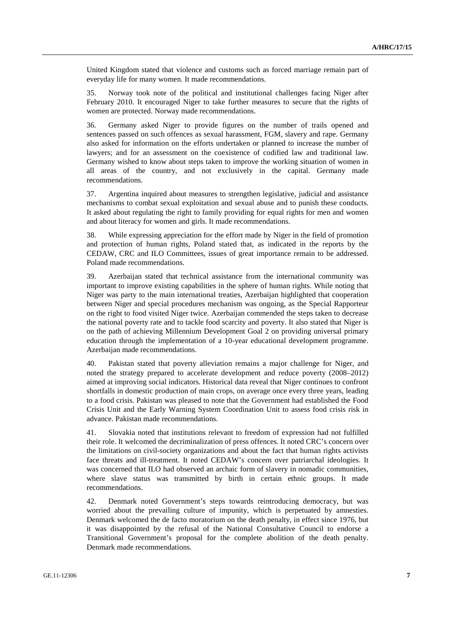United Kingdom stated that violence and customs such as forced marriage remain part of everyday life for many women. It made recommendations.

35. Norway took note of the political and institutional challenges facing Niger after February 2010. It encouraged Niger to take further measures to secure that the rights of women are protected. Norway made recommendations.

36. Germany asked Niger to provide figures on the number of trails opened and sentences passed on such offences as sexual harassment, FGM, slavery and rape. Germany also asked for information on the efforts undertaken or planned to increase the number of lawyers; and for an assessment on the coexistence of codified law and traditional law. Germany wished to know about steps taken to improve the working situation of women in all areas of the country, and not exclusively in the capital. Germany made recommendations.

37. Argentina inquired about measures to strengthen legislative, judicial and assistance mechanisms to combat sexual exploitation and sexual abuse and to punish these conducts. It asked about regulating the right to family providing for equal rights for men and women and about literacy for women and girls. It made recommendations.

38. While expressing appreciation for the effort made by Niger in the field of promotion and protection of human rights, Poland stated that, as indicated in the reports by the CEDAW, CRC and ILO Committees, issues of great importance remain to be addressed. Poland made recommendations.

39. Azerbaijan stated that technical assistance from the international community was important to improve existing capabilities in the sphere of human rights. While noting that Niger was party to the main international treaties, Azerbaijan highlighted that cooperation between Niger and special procedures mechanism was ongoing, as the Special Rapporteur on the right to food visited Niger twice. Azerbaijan commended the steps taken to decrease the national poverty rate and to tackle food scarcity and poverty. It also stated that Niger is on the path of achieving Millennium Development Goal 2 on providing universal primary education through the implementation of a 10-year educational development programme. Azerbaijan made recommendations.

40. Pakistan stated that poverty alleviation remains a major challenge for Niger, and noted the strategy prepared to accelerate development and reduce poverty (2008–2012) aimed at improving social indicators. Historical data reveal that Niger continues to confront shortfalls in domestic production of main crops, on average once every three years, leading to a food crisis. Pakistan was pleased to note that the Government had established the Food Crisis Unit and the Early Warning System Coordination Unit to assess food crisis risk in advance. Pakistan made recommendations.

41. Slovakia noted that institutions relevant to freedom of expression had not fulfilled their role. It welcomed the decriminalization of press offences. It noted CRC's concern over the limitations on civil-society organizations and about the fact that human rights activists face threats and ill-treatment. It noted CEDAW's concern over patriarchal ideologies. It was concerned that ILO had observed an archaic form of slavery in nomadic communities, where slave status was transmitted by birth in certain ethnic groups. It made recommendations.

42. Denmark noted Government's steps towards reintroducing democracy, but was worried about the prevailing culture of impunity, which is perpetuated by amnesties. Denmark welcomed the de facto moratorium on the death penalty, in effect since 1976, but it was disappointed by the refusal of the National Consultative Council to endorse a Transitional Government's proposal for the complete abolition of the death penalty. Denmark made recommendations.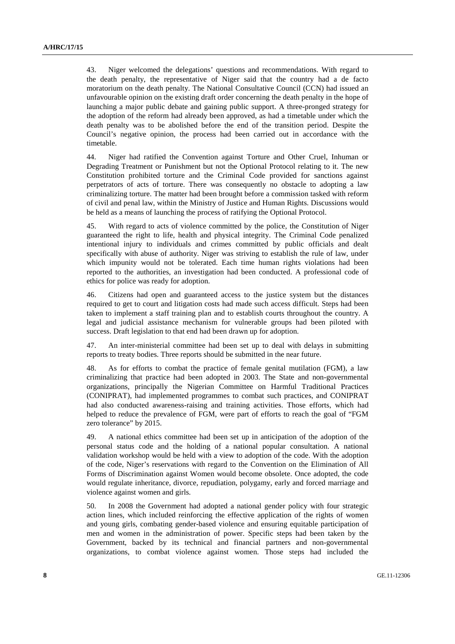43. Niger welcomed the delegations' questions and recommendations. With regard to the death penalty, the representative of Niger said that the country had a de facto moratorium on the death penalty. The National Consultative Council (CCN) had issued an unfavourable opinion on the existing draft order concerning the death penalty in the hope of launching a major public debate and gaining public support. A three-pronged strategy for the adoption of the reform had already been approved, as had a timetable under which the death penalty was to be abolished before the end of the transition period. Despite the Council's negative opinion, the process had been carried out in accordance with the timetable.

44. Niger had ratified the Convention against Torture and Other Cruel, Inhuman or Degrading Treatment or Punishment but not the Optional Protocol relating to it. The new Constitution prohibited torture and the Criminal Code provided for sanctions against perpetrators of acts of torture. There was consequently no obstacle to adopting a law criminalizing torture. The matter had been brought before a commission tasked with reform of civil and penal law, within the Ministry of Justice and Human Rights. Discussions would be held as a means of launching the process of ratifying the Optional Protocol.

45. With regard to acts of violence committed by the police, the Constitution of Niger guaranteed the right to life, health and physical integrity. The Criminal Code penalized intentional injury to individuals and crimes committed by public officials and dealt specifically with abuse of authority. Niger was striving to establish the rule of law, under which impunity would not be tolerated. Each time human rights violations had been reported to the authorities, an investigation had been conducted. A professional code of ethics for police was ready for adoption.

46. Citizens had open and guaranteed access to the justice system but the distances required to get to court and litigation costs had made such access difficult. Steps had been taken to implement a staff training plan and to establish courts throughout the country. A legal and judicial assistance mechanism for vulnerable groups had been piloted with success. Draft legislation to that end had been drawn up for adoption.

47. An inter-ministerial committee had been set up to deal with delays in submitting reports to treaty bodies. Three reports should be submitted in the near future.

48. As for efforts to combat the practice of female genital mutilation (FGM), a law criminalizing that practice had been adopted in 2003. The State and non-governmental organizations, principally the Nigerian Committee on Harmful Traditional Practices (CONIPRAT), had implemented programmes to combat such practices, and CONIPRAT had also conducted awareness-raising and training activities. Those efforts, which had helped to reduce the prevalence of FGM, were part of efforts to reach the goal of "FGM zero tolerance" by 2015.

49. A national ethics committee had been set up in anticipation of the adoption of the personal status code and the holding of a national popular consultation. A national validation workshop would be held with a view to adoption of the code. With the adoption of the code, Niger's reservations with regard to the Convention on the Elimination of All Forms of Discrimination against Women would become obsolete. Once adopted, the code would regulate inheritance, divorce, repudiation, polygamy, early and forced marriage and violence against women and girls.

50. In 2008 the Government had adopted a national gender policy with four strategic action lines, which included reinforcing the effective application of the rights of women and young girls, combating gender-based violence and ensuring equitable participation of men and women in the administration of power. Specific steps had been taken by the Government, backed by its technical and financial partners and non-governmental organizations, to combat violence against women. Those steps had included the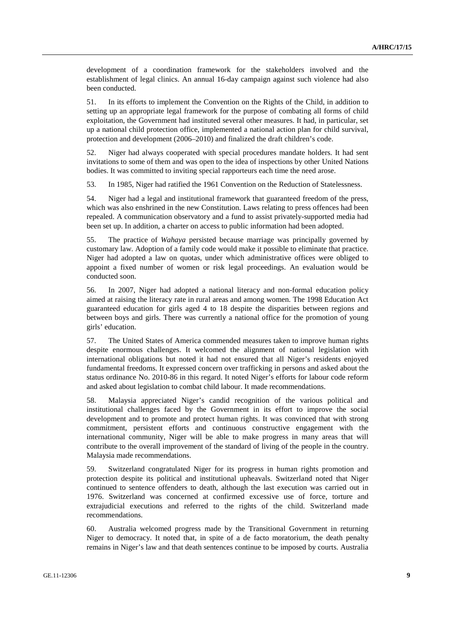development of a coordination framework for the stakeholders involved and the establishment of legal clinics. An annual 16-day campaign against such violence had also been conducted.

51. In its efforts to implement the Convention on the Rights of the Child, in addition to setting up an appropriate legal framework for the purpose of combating all forms of child exploitation, the Government had instituted several other measures. It had, in particular, set up a national child protection office, implemented a national action plan for child survival, protection and development (2006–2010) and finalized the draft children's code.

52. Niger had always cooperated with special procedures mandate holders. It had sent invitations to some of them and was open to the idea of inspections by other United Nations bodies. It was committed to inviting special rapporteurs each time the need arose.

53. In 1985, Niger had ratified the 1961 Convention on the Reduction of Statelessness.

54. Niger had a legal and institutional framework that guaranteed freedom of the press, which was also enshrined in the new Constitution. Laws relating to press offences had been repealed. A communication observatory and a fund to assist privately-supported media had been set up. In addition, a charter on access to public information had been adopted.

55. The practice of *Wahaya* persisted because marriage was principally governed by customary law. Adoption of a family code would make it possible to eliminate that practice. Niger had adopted a law on quotas, under which administrative offices were obliged to appoint a fixed number of women or risk legal proceedings. An evaluation would be conducted soon.

56. In 2007, Niger had adopted a national literacy and non-formal education policy aimed at raising the literacy rate in rural areas and among women. The 1998 Education Act guaranteed education for girls aged 4 to 18 despite the disparities between regions and between boys and girls. There was currently a national office for the promotion of young girls' education.

57. The United States of America commended measures taken to improve human rights despite enormous challenges. It welcomed the alignment of national legislation with international obligations but noted it had not ensured that all Niger's residents enjoyed fundamental freedoms. It expressed concern over trafficking in persons and asked about the status ordinance No. 2010-86 in this regard. It noted Niger's efforts for labour code reform and asked about legislation to combat child labour. It made recommendations.

58. Malaysia appreciated Niger's candid recognition of the various political and institutional challenges faced by the Government in its effort to improve the social development and to promote and protect human rights. It was convinced that with strong commitment, persistent efforts and continuous constructive engagement with the international community, Niger will be able to make progress in many areas that will contribute to the overall improvement of the standard of living of the people in the country. Malaysia made recommendations.

59. Switzerland congratulated Niger for its progress in human rights promotion and protection despite its political and institutional upheavals. Switzerland noted that Niger continued to sentence offenders to death, although the last execution was carried out in 1976. Switzerland was concerned at confirmed excessive use of force, torture and extrajudicial executions and referred to the rights of the child. Switzerland made recommendations.

60. Australia welcomed progress made by the Transitional Government in returning Niger to democracy. It noted that, in spite of a de facto moratorium, the death penalty remains in Niger's law and that death sentences continue to be imposed by courts. Australia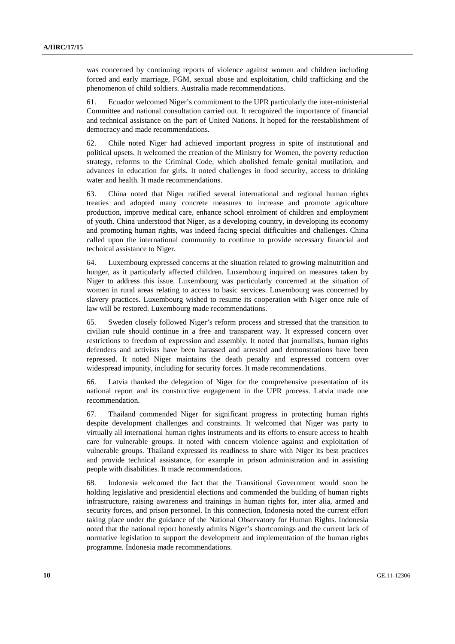was concerned by continuing reports of violence against women and children including forced and early marriage, FGM, sexual abuse and exploitation, child trafficking and the phenomenon of child soldiers. Australia made recommendations.

61. Ecuador welcomed Niger's commitment to the UPR particularly the inter-ministerial Committee and national consultation carried out. It recognized the importance of financial and technical assistance on the part of United Nations. It hoped for the reestablishment of democracy and made recommendations.

62. Chile noted Niger had achieved important progress in spite of institutional and political upsets. It welcomed the creation of the Ministry for Women, the poverty reduction strategy, reforms to the Criminal Code, which abolished female genital mutilation, and advances in education for girls. It noted challenges in food security, access to drinking water and health. It made recommendations.

63. China noted that Niger ratified several international and regional human rights treaties and adopted many concrete measures to increase and promote agriculture production, improve medical care, enhance school enrolment of children and employment of youth. China understood that Niger, as a developing country, in developing its economy and promoting human rights, was indeed facing special difficulties and challenges. China called upon the international community to continue to provide necessary financial and technical assistance to Niger.

64. Luxembourg expressed concerns at the situation related to growing malnutrition and hunger, as it particularly affected children. Luxembourg inquired on measures taken by Niger to address this issue. Luxembourg was particularly concerned at the situation of women in rural areas relating to access to basic services. Luxembourg was concerned by slavery practices. Luxembourg wished to resume its cooperation with Niger once rule of law will be restored. Luxembourg made recommendations.

65. Sweden closely followed Niger's reform process and stressed that the transition to civilian rule should continue in a free and transparent way. It expressed concern over restrictions to freedom of expression and assembly. It noted that journalists, human rights defenders and activists have been harassed and arrested and demonstrations have been repressed. It noted Niger maintains the death penalty and expressed concern over widespread impunity, including for security forces. It made recommendations.

66. Latvia thanked the delegation of Niger for the comprehensive presentation of its national report and its constructive engagement in the UPR process. Latvia made one recommendation.

67. Thailand commended Niger for significant progress in protecting human rights despite development challenges and constraints. It welcomed that Niger was party to virtually all international human rights instruments and its efforts to ensure access to health care for vulnerable groups. It noted with concern violence against and exploitation of vulnerable groups. Thailand expressed its readiness to share with Niger its best practices and provide technical assistance, for example in prison administration and in assisting people with disabilities. It made recommendations.

68. Indonesia welcomed the fact that the Transitional Government would soon be holding legislative and presidential elections and commended the building of human rights infrastructure, raising awareness and trainings in human rights for, inter alia, armed and security forces, and prison personnel. In this connection, Indonesia noted the current effort taking place under the guidance of the National Observatory for Human Rights. Indonesia noted that the national report honestly admits Niger's shortcomings and the current lack of normative legislation to support the development and implementation of the human rights programme. Indonesia made recommendations.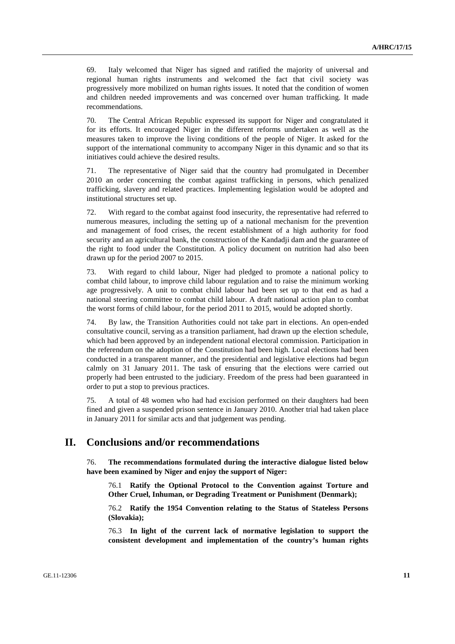69. Italy welcomed that Niger has signed and ratified the majority of universal and regional human rights instruments and welcomed the fact that civil society was progressively more mobilized on human rights issues. It noted that the condition of women and children needed improvements and was concerned over human trafficking. It made recommendations.

70. The Central African Republic expressed its support for Niger and congratulated it for its efforts. It encouraged Niger in the different reforms undertaken as well as the measures taken to improve the living conditions of the people of Niger. It asked for the support of the international community to accompany Niger in this dynamic and so that its initiatives could achieve the desired results.

71. The representative of Niger said that the country had promulgated in December 2010 an order concerning the combat against trafficking in persons, which penalized trafficking, slavery and related practices. Implementing legislation would be adopted and institutional structures set up.

72. With regard to the combat against food insecurity, the representative had referred to numerous measures, including the setting up of a national mechanism for the prevention and management of food crises, the recent establishment of a high authority for food security and an agricultural bank, the construction of the Kandadji dam and the guarantee of the right to food under the Constitution. A policy document on nutrition had also been drawn up for the period 2007 to 2015.

73. With regard to child labour, Niger had pledged to promote a national policy to combat child labour, to improve child labour regulation and to raise the minimum working age progressively. A unit to combat child labour had been set up to that end as had a national steering committee to combat child labour. A draft national action plan to combat the worst forms of child labour, for the period 2011 to 2015, would be adopted shortly.

74. By law, the Transition Authorities could not take part in elections. An open-ended consultative council, serving as a transition parliament, had drawn up the election schedule, which had been approved by an independent national electoral commission. Participation in the referendum on the adoption of the Constitution had been high. Local elections had been conducted in a transparent manner, and the presidential and legislative elections had begun calmly on 31 January 2011. The task of ensuring that the elections were carried out properly had been entrusted to the judiciary. Freedom of the press had been guaranteed in order to put a stop to previous practices.

75. A total of 48 women who had had excision performed on their daughters had been fined and given a suspended prison sentence in January 2010. Another trial had taken place in January 2011 for similar acts and that judgement was pending.

# **II. Conclusions and/or recommendations**

76. **The recommendations formulated during the interactive dialogue listed below have been examined by Niger and enjoy the support of Niger:** 

76.1 **Ratify the Optional Protocol to the Convention against Torture and Other Cruel, Inhuman, or Degrading Treatment or Punishment (Denmark);** 

76.2 **Ratify the 1954 Convention relating to the Status of Stateless Persons (Slovakia);** 

76.3 **In light of the current lack of normative legislation to support the consistent development and implementation of the country's human rights**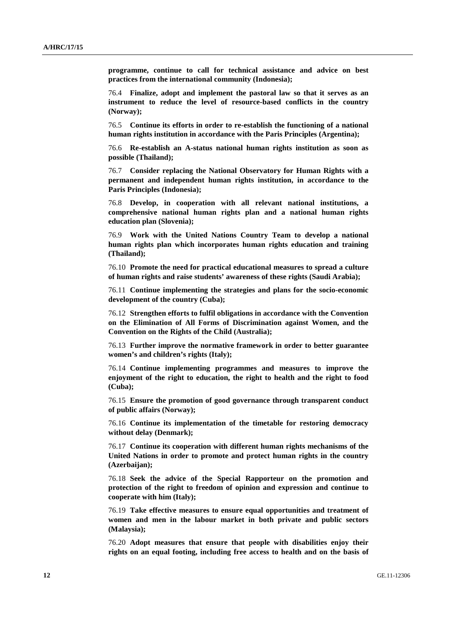**programme, continue to call for technical assistance and advice on best practices from the international community (Indonesia);** 

76.4 **Finalize, adopt and implement the pastoral law so that it serves as an instrument to reduce the level of resource-based conflicts in the country (Norway);** 

76.5 **Continue its efforts in order to re-establish the functioning of a national human rights institution in accordance with the Paris Principles (Argentina);** 

76.6 **Re-establish an A-status national human rights institution as soon as possible (Thailand);** 

76.7 **Consider replacing the National Observatory for Human Rights with a permanent and independent human rights institution, in accordance to the Paris Principles (Indonesia);** 

76.8 **Develop, in cooperation with all relevant national institutions, a comprehensive national human rights plan and a national human rights education plan (Slovenia);** 

76.9 **Work with the United Nations Country Team to develop a national human rights plan which incorporates human rights education and training (Thailand);** 

76.10 **Promote the need for practical educational measures to spread a culture of human rights and raise students' awareness of these rights (Saudi Arabia);** 

76.11 **Continue implementing the strategies and plans for the socio-economic development of the country (Cuba);** 

76.12 **Strengthen efforts to fulfil obligations in accordance with the Convention on the Elimination of All Forms of Discrimination against Women, and the Convention on the Rights of the Child (Australia);** 

76.13 **Further improve the normative framework in order to better guarantee women's and children's rights (Italy);** 

76.14 **Continue implementing programmes and measures to improve the enjoyment of the right to education, the right to health and the right to food (Cuba);** 

76.15 **Ensure the promotion of good governance through transparent conduct of public affairs (Norway);** 

76.16 **Continue its implementation of the timetable for restoring democracy without delay (Denmark);** 

76.17 **Continue its cooperation with different human rights mechanisms of the United Nations in order to promote and protect human rights in the country (Azerbaijan);** 

76.18 **Seek the advice of the Special Rapporteur on the promotion and protection of the right to freedom of opinion and expression and continue to cooperate with him (Italy);** 

76.19 **Take effective measures to ensure equal opportunities and treatment of women and men in the labour market in both private and public sectors (Malaysia);** 

76.20 **Adopt measures that ensure that people with disabilities enjoy their rights on an equal footing, including free access to health and on the basis of**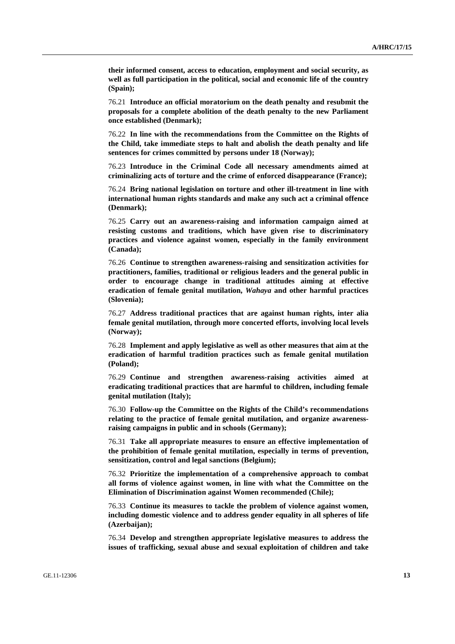**their informed consent, access to education, employment and social security, as well as full participation in the political, social and economic life of the country (Spain);** 

76.21 **Introduce an official moratorium on the death penalty and resubmit the proposals for a complete abolition of the death penalty to the new Parliament once established (Denmark);** 

76.22 **In line with the recommendations from the Committee on the Rights of the Child, take immediate steps to halt and abolish the death penalty and life sentences for crimes committed by persons under 18 (Norway);** 

76.23 **Introduce in the Criminal Code all necessary amendments aimed at criminalizing acts of torture and the crime of enforced disappearance (France);** 

76.24 **Bring national legislation on torture and other ill-treatment in line with international human rights standards and make any such act a criminal offence (Denmark);** 

76.25 **Carry out an awareness-raising and information campaign aimed at resisting customs and traditions, which have given rise to discriminatory practices and violence against women, especially in the family environment (Canada);** 

76.26 **Continue to strengthen awareness-raising and sensitization activities for practitioners, families, traditional or religious leaders and the general public in order to encourage change in traditional attitudes aiming at effective eradication of female genital mutilation,** *Wahaya* **and other harmful practices (Slovenia);** 

76.27 **Address traditional practices that are against human rights, inter alia female genital mutilation, through more concerted efforts, involving local levels (Norway);** 

76.28 **Implement and apply legislative as well as other measures that aim at the eradication of harmful tradition practices such as female genital mutilation (Poland);** 

76.29 **Continue and strengthen awareness-raising activities aimed at eradicating traditional practices that are harmful to children, including female genital mutilation (Italy);** 

76.30 **Follow-up the Committee on the Rights of the Child's recommendations relating to the practice of female genital mutilation, and organize awarenessraising campaigns in public and in schools (Germany);** 

76.31 **Take all appropriate measures to ensure an effective implementation of the prohibition of female genital mutilation, especially in terms of prevention, sensitization, control and legal sanctions (Belgium);** 

76.32 **Prioritize the implementation of a comprehensive approach to combat all forms of violence against women, in line with what the Committee on the Elimination of Discrimination against Women recommended (Chile);** 

76.33 **Continue its measures to tackle the problem of violence against women, including domestic violence and to address gender equality in all spheres of life (Azerbaijan);** 

76.34 **Develop and strengthen appropriate legislative measures to address the issues of trafficking, sexual abuse and sexual exploitation of children and take**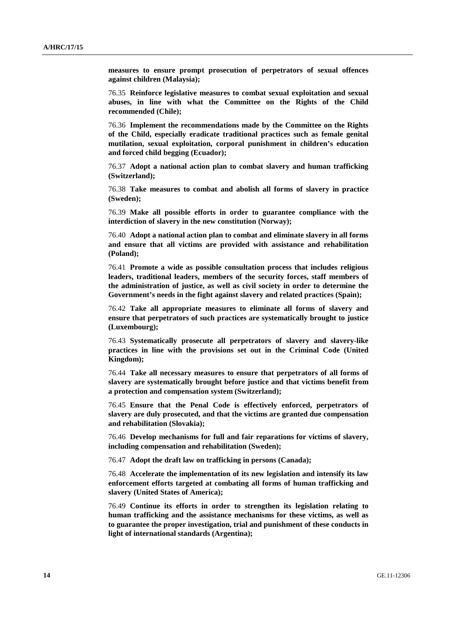**measures to ensure prompt prosecution of perpetrators of sexual offences against children (Malaysia);** 

76.35 **Reinforce legislative measures to combat sexual exploitation and sexual abuses, in line with what the Committee on the Rights of the Child recommended (Chile);** 

76.36 **Implement the recommendations made by the Committee on the Rights of the Child, especially eradicate traditional practices such as female genital mutilation, sexual exploitation, corporal punishment in children's education and forced child begging (Ecuador);** 

76.37 **Adopt a national action plan to combat slavery and human trafficking (Switzerland);** 

76.38 **Take measures to combat and abolish all forms of slavery in practice (Sweden);** 

76.39 **Make all possible efforts in order to guarantee compliance with the interdiction of slavery in the new constitution (Norway);** 

76.40 **Adopt a national action plan to combat and eliminate slavery in all forms and ensure that all victims are provided with assistance and rehabilitation (Poland);** 

76.41 **Promote a wide as possible consultation process that includes religious leaders, traditional leaders, members of the security forces, staff members of the administration of justice, as well as civil society in order to determine the Government's needs in the fight against slavery and related practices (Spain);** 

76.42 **Take all appropriate measures to eliminate all forms of slavery and ensure that perpetrators of such practices are systematically brought to justice (Luxembourg);** 

76.43 **Systematically prosecute all perpetrators of slavery and slavery-like practices in line with the provisions set out in the Criminal Code (United Kingdom);** 

76.44 **Take all necessary measures to ensure that perpetrators of all forms of slavery are systematically brought before justice and that victims benefit from a protection and compensation system (Switzerland);** 

76.45 **Ensure that the Penal Code is effectively enforced, perpetrators of slavery are duly prosecuted, and that the victims are granted due compensation and rehabilitation (Slovakia);** 

76.46 **Develop mechanisms for full and fair reparations for victims of slavery, including compensation and rehabilitation (Sweden);** 

76.47 **Adopt the draft law on trafficking in persons (Canada);** 

76.48 **Accelerate the implementation of its new legislation and intensify its law enforcement efforts targeted at combating all forms of human trafficking and slavery (United States of America);** 

76.49 **Continue its efforts in order to strengthen its legislation relating to human trafficking and the assistance mechanisms for these victims, as well as to guarantee the proper investigation, trial and punishment of these conducts in light of international standards (Argentina);**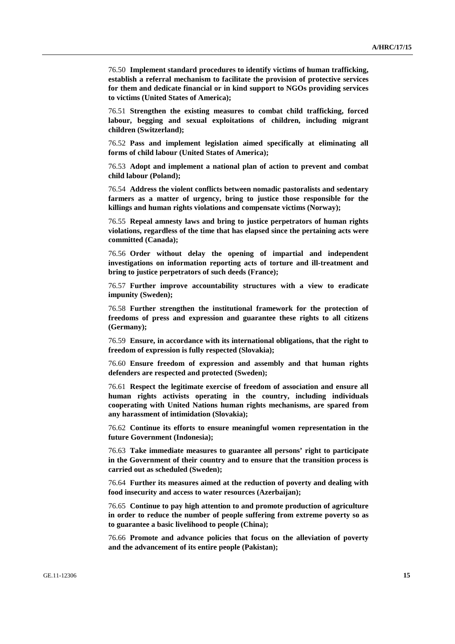76.50 **Implement standard procedures to identify victims of human trafficking, establish a referral mechanism to facilitate the provision of protective services for them and dedicate financial or in kind support to NGOs providing services to victims (United States of America);** 

76.51 **Strengthen the existing measures to combat child trafficking, forced labour, begging and sexual exploitations of children, including migrant children (Switzerland);** 

76.52 **Pass and implement legislation aimed specifically at eliminating all forms of child labour (United States of America);** 

76.53 **Adopt and implement a national plan of action to prevent and combat child labour (Poland);** 

76.54 **Address the violent conflicts between nomadic pastoralists and sedentary farmers as a matter of urgency, bring to justice those responsible for the killings and human rights violations and compensate victims (Norway);** 

76.55 **Repeal amnesty laws and bring to justice perpetrators of human rights violations, regardless of the time that has elapsed since the pertaining acts were committed (Canada);** 

76.56 **Order without delay the opening of impartial and independent investigations on information reporting acts of torture and ill-treatment and bring to justice perpetrators of such deeds (France);** 

76.57 **Further improve accountability structures with a view to eradicate impunity (Sweden);** 

76.58 **Further strengthen the institutional framework for the protection of freedoms of press and expression and guarantee these rights to all citizens (Germany);** 

76.59 **Ensure, in accordance with its international obligations, that the right to freedom of expression is fully respected (Slovakia);** 

76.60 **Ensure freedom of expression and assembly and that human rights defenders are respected and protected (Sweden);** 

76.61 **Respect the legitimate exercise of freedom of association and ensure all human rights activists operating in the country, including individuals cooperating with United Nations human rights mechanisms, are spared from any harassment of intimidation (Slovakia);** 

76.62 **Continue its efforts to ensure meaningful women representation in the future Government (Indonesia);** 

76.63 **Take immediate measures to guarantee all persons' right to participate in the Government of their country and to ensure that the transition process is carried out as scheduled (Sweden);** 

76.64 **Further its measures aimed at the reduction of poverty and dealing with food insecurity and access to water resources (Azerbaijan);** 

76.65 **Continue to pay high attention to and promote production of agriculture in order to reduce the number of people suffering from extreme poverty so as to guarantee a basic livelihood to people (China);** 

76.66 **Promote and advance policies that focus on the alleviation of poverty and the advancement of its entire people (Pakistan);**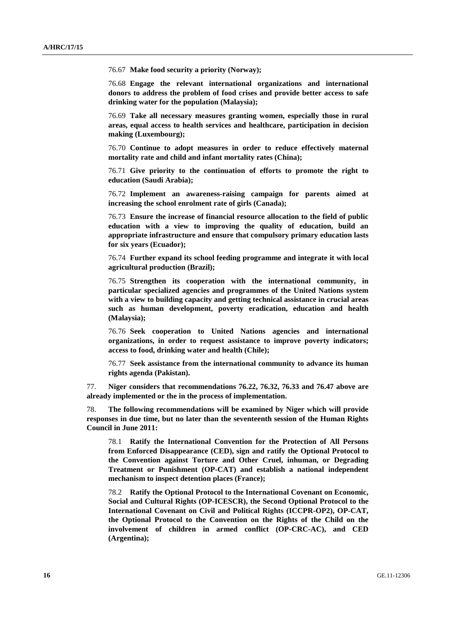76.67 **Make food security a priority (Norway);** 

76.68 **Engage the relevant international organizations and international donors to address the problem of food crises and provide better access to safe drinking water for the population (Malaysia);** 

76.69 **Take all necessary measures granting women, especially those in rural areas, equal access to health services and healthcare, participation in decision making (Luxembourg);** 

76.70 **Continue to adopt measures in order to reduce effectively maternal mortality rate and child and infant mortality rates (China);** 

76.71 **Give priority to the continuation of efforts to promote the right to education (Saudi Arabia);** 

76.72 **Implement an awareness-raising campaign for parents aimed at increasing the school enrolment rate of girls (Canada);** 

76.73 **Ensure the increase of financial resource allocation to the field of public education with a view to improving the quality of education, build an appropriate infrastructure and ensure that compulsory primary education lasts for six years (Ecuador);** 

76.74 **Further expand its school feeding programme and integrate it with local agricultural production (Brazil);** 

76.75 **Strengthen its cooperation with the international community, in particular specialized agencies and programmes of the United Nations system with a view to building capacity and getting technical assistance in crucial areas such as human development, poverty eradication, education and health (Malaysia);** 

76.76 **Seek cooperation to United Nations agencies and international organizations, in order to request assistance to improve poverty indicators; access to food, drinking water and health (Chile);** 

76.77 **Seek assistance from the international community to advance its human rights agenda (Pakistan).** 

77. **Niger considers that recommendations 76.22, 76.32, 76.33 and 76.47 above are already implemented or the in the process of implementation.** 

78. **The following recommendations will be examined by Niger which will provide responses in due time, but no later than the seventeenth session of the Human Rights Council in June 2011:** 

78.1 **Ratify the International Convention for the Protection of All Persons from Enforced Disappearance (CED), sign and ratify the Optional Protocol to the Convention against Torture and Other Cruel, inhuman, or Degrading Treatment or Punishment (OP-CAT) and establish a national independent mechanism to inspect detention places (France);** 

78.2 **Ratify the Optional Protocol to the International Covenant on Economic, Social and Cultural Rights (OP-ICESCR), the Second Optional Protocol to the International Covenant on Civil and Political Rights (ICCPR-OP2), OP-CAT, the Optional Protocol to the Convention on the Rights of the Child on the involvement of children in armed conflict (OP-CRC-AC), and CED (Argentina);**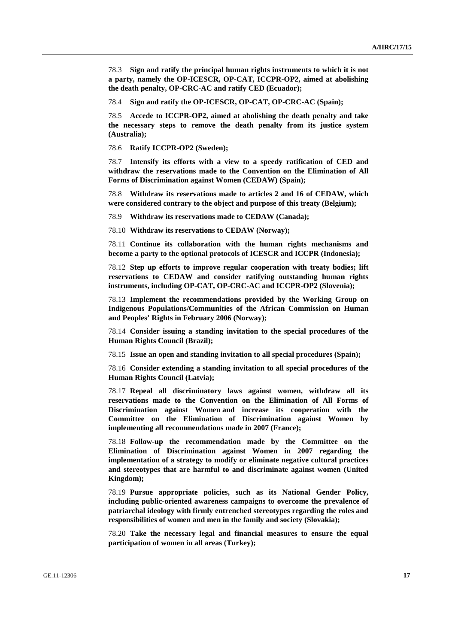78.3 **Sign and ratify the principal human rights instruments to which it is not a party, namely the OP-ICESCR, OP-CAT, ICCPR-OP2, aimed at abolishing the death penalty, OP-CRC-AC and ratify CED (Ecuador);** 

78.4 **Sign and ratify the OP-ICESCR, OP-CAT, OP-CRC-AC (Spain);** 

78.5 **Accede to ICCPR-OP2, aimed at abolishing the death penalty and take the necessary steps to remove the death penalty from its justice system (Australia);** 

78.6 **Ratify ICCPR-OP2 (Sweden);** 

78.7 **Intensify its efforts with a view to a speedy ratification of CED and withdraw the reservations made to the Convention on the Elimination of All Forms of Discrimination against Women (CEDAW) (Spain);** 

78.8 **Withdraw its reservations made to articles 2 and 16 of CEDAW, which were considered contrary to the object and purpose of this treaty (Belgium);** 

78.9 **Withdraw its reservations made to CEDAW (Canada);** 

78.10 **Withdraw its reservations to CEDAW (Norway);** 

78.11 **Continue its collaboration with the human rights mechanisms and become a party to the optional protocols of ICESCR and ICCPR (Indonesia);** 

78.12 **Step up efforts to improve regular cooperation with treaty bodies; lift reservations to CEDAW and consider ratifying outstanding human rights instruments, including OP-CAT, OP-CRC-AC and ICCPR-OP2 (Slovenia);** 

78.13 **Implement the recommendations provided by the Working Group on Indigenous Populations/Communities of the African Commission on Human and Peoples' Rights in February 2006 (Norway);** 

78.14 **Consider issuing a standing invitation to the special procedures of the Human Rights Council (Brazil);** 

78.15 **Issue an open and standing invitation to all special procedures (Spain);** 

78.16 **Consider extending a standing invitation to all special procedures of the Human Rights Council (Latvia);** 

78.17 **Repeal all discriminatory laws against women, withdraw all its reservations made to the Convention on the Elimination of All Forms of Discrimination against Women and increase its cooperation with the Committee on the Elimination of Discrimination against Women by implementing all recommendations made in 2007 (France);** 

78.18 **Follow-up the recommendation made by the Committee on the Elimination of Discrimination against Women in 2007 regarding the implementation of a strategy to modify or eliminate negative cultural practices and stereotypes that are harmful to and discriminate against women (United Kingdom);** 

78.19 **Pursue appropriate policies, such as its National Gender Policy, including public-oriented awareness campaigns to overcome the prevalence of patriarchal ideology with firmly entrenched stereotypes regarding the roles and responsibilities of women and men in the family and society (Slovakia);** 

78.20 **Take the necessary legal and financial measures to ensure the equal participation of women in all areas (Turkey);**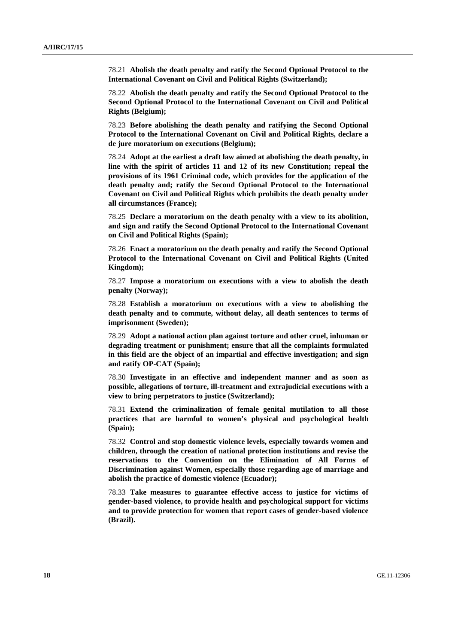78.21 **Abolish the death penalty and ratify the Second Optional Protocol to the International Covenant on Civil and Political Rights (Switzerland);** 

78.22 **Abolish the death penalty and ratify the Second Optional Protocol to the Second Optional Protocol to the International Covenant on Civil and Political Rights (Belgium);** 

78.23 **Before abolishing the death penalty and ratifying the Second Optional Protocol to the International Covenant on Civil and Political Rights, declare a de jure moratorium on executions (Belgium);** 

78.24 **Adopt at the earliest a draft law aimed at abolishing the death penalty, in line with the spirit of articles 11 and 12 of its new Constitution; repeal the provisions of its 1961 Criminal code, which provides for the application of the death penalty and; ratify the Second Optional Protocol to the International Covenant on Civil and Political Rights which prohibits the death penalty under all circumstances (France);** 

78.25 **Declare a moratorium on the death penalty with a view to its abolition, and sign and ratify the Second Optional Protocol to the International Covenant on Civil and Political Rights (Spain);** 

78.26 **Enact a moratorium on the death penalty and ratify the Second Optional Protocol to the International Covenant on Civil and Political Rights (United Kingdom);** 

78.27 **Impose a moratorium on executions with a view to abolish the death penalty (Norway);** 

78.28 **Establish a moratorium on executions with a view to abolishing the death penalty and to commute, without delay, all death sentences to terms of imprisonment (Sweden);** 

78.29 **Adopt a national action plan against torture and other cruel, inhuman or degrading treatment or punishment; ensure that all the complaints formulated in this field are the object of an impartial and effective investigation; and sign and ratify OP-CAT (Spain);** 

78.30 **Investigate in an effective and independent manner and as soon as possible, allegations of torture, ill-treatment and extrajudicial executions with a view to bring perpetrators to justice (Switzerland);** 

78.31 **Extend the criminalization of female genital mutilation to all those practices that are harmful to women's physical and psychological health (Spain);** 

78.32 **Control and stop domestic violence levels, especially towards women and children, through the creation of national protection institutions and revise the reservations to the Convention on the Elimination of All Forms of Discrimination against Women, especially those regarding age of marriage and abolish the practice of domestic violence (Ecuador);** 

78.33 **Take measures to guarantee effective access to justice for victims of gender-based violence, to provide health and psychological support for victims and to provide protection for women that report cases of gender-based violence (Brazil).**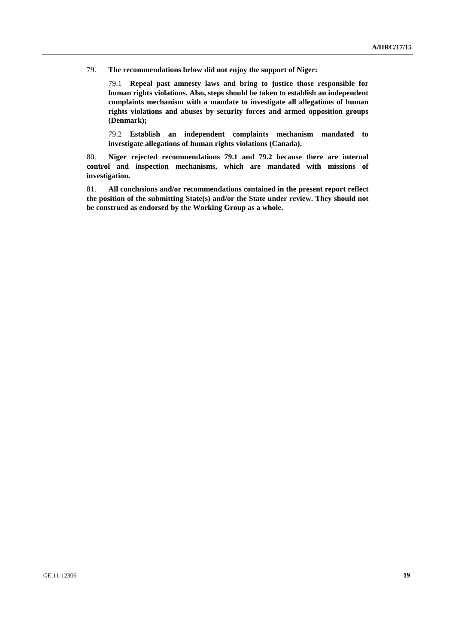79. **The recommendations below did not enjoy the support of Niger:** 

79.1 **Repeal past amnesty laws and bring to justice those responsible for human rights violations. Also, steps should be taken to establish an independent complaints mechanism with a mandate to investigate all allegations of human rights violations and abuses by security forces and armed opposition groups (Denmark);** 

79.2 **Establish an independent complaints mechanism mandated to investigate allegations of human rights violations (Canada).** 

80. **Niger rejected recommendations 79.1 and 79.2 because there are internal control and inspection mechanisms, which are mandated with missions of investigation.** 

81. **All conclusions and/or recommendations contained in the present report reflect the position of the submitting State(s) and/or the State under review. They should not be construed as endorsed by the Working Group as a whole.**